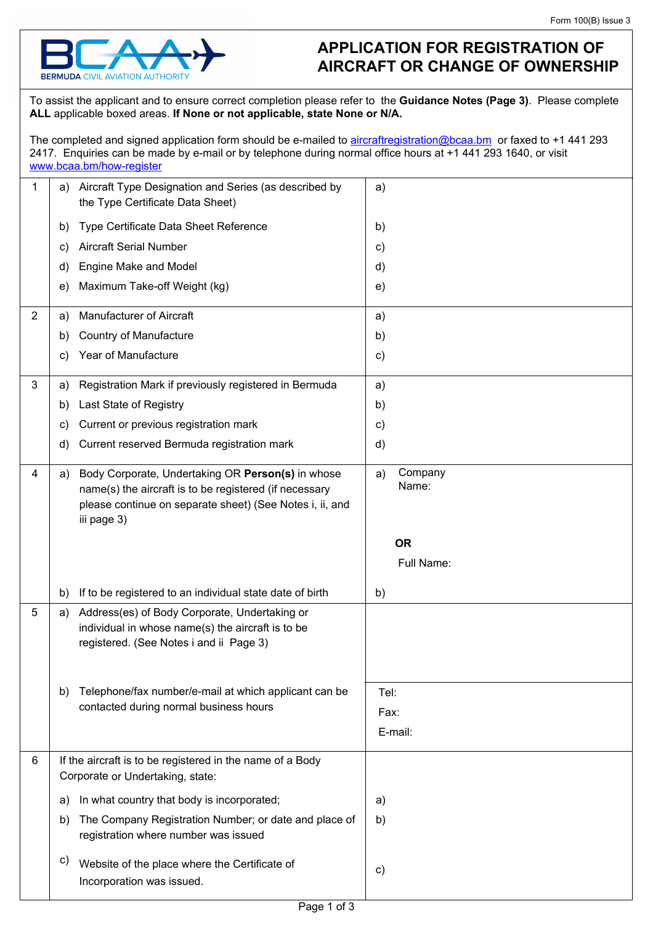

## **APPLICATION FOR REGISTRATION OF AIRCRAFT OR CHANGE OF OWNERSHIP**

To assist the applicant and to ensure correct completion please refer to the **Guidance Notes (Page 3)**. Please complete **ALL** applicable boxed areas. **If None or not applicable, state None or N/A.**

The completed and signed application form should be e-mailed to [aircraftregistration@bcaa.bm](mailto:aircraftregistration@bcaa.bm) or faxed to +1 441 293 2417. Enquiries can be made by e-mail or by telephone during normal office hours at +1 441 293 1640, or visit <www.bcaa.bm/how-register>

| 1              | Aircraft Type Designation and Series (as described by<br>a)<br>the Type Certificate Data Sheet)                                                                                              | a)                                  |
|----------------|----------------------------------------------------------------------------------------------------------------------------------------------------------------------------------------------|-------------------------------------|
|                | Type Certificate Data Sheet Reference<br>b)                                                                                                                                                  | b)                                  |
|                | <b>Aircraft Serial Number</b><br>C)                                                                                                                                                          | c)                                  |
|                | Engine Make and Model<br>d)                                                                                                                                                                  | d)                                  |
|                | Maximum Take-off Weight (kg)<br>e)                                                                                                                                                           | e)                                  |
| $\overline{2}$ | Manufacturer of Aircraft<br>a)                                                                                                                                                               | a)                                  |
|                | <b>Country of Manufacture</b><br>b)                                                                                                                                                          | b)                                  |
|                | Year of Manufacture<br>c)                                                                                                                                                                    | c)                                  |
| 3              | Registration Mark if previously registered in Bermuda<br>a)                                                                                                                                  | a)                                  |
|                | Last State of Registry<br>b)                                                                                                                                                                 | b)                                  |
|                | Current or previous registration mark<br>C)                                                                                                                                                  | c)                                  |
|                | Current reserved Bermuda registration mark<br>d)                                                                                                                                             | d)                                  |
| 4              | Body Corporate, Undertaking OR Person(s) in whose<br>a)<br>name(s) the aircraft is to be registered (if necessary<br>please continue on separate sheet) (See Notes i, ii, and<br>iii page 3) | Company<br>a)<br>Name:<br><b>OR</b> |
|                |                                                                                                                                                                                              | Full Name:                          |
|                |                                                                                                                                                                                              |                                     |
|                | If to be registered to an individual state date of birth<br>b)                                                                                                                               | b)                                  |
| 5              | Address(es) of Body Corporate, Undertaking or<br>a)<br>individual in whose name(s) the aircraft is to be<br>registered. (See Notes i and ii Page 3)                                          |                                     |
|                | Telephone/fax number/e-mail at which applicant can be<br>b)                                                                                                                                  | Tel:                                |
|                | contacted during normal business hours                                                                                                                                                       | Fax:                                |
|                |                                                                                                                                                                                              | E-mail:                             |
| 6              | If the aircraft is to be registered in the name of a Body<br>Corporate or Undertaking, state:                                                                                                |                                     |
|                | In what country that body is incorporated;<br>a)                                                                                                                                             | a)                                  |
|                | The Company Registration Number; or date and place of<br>b)<br>registration where number was issued                                                                                          | b)                                  |
|                | c)<br>Website of the place where the Certificate of<br>Incorporation was issued.                                                                                                             | c)                                  |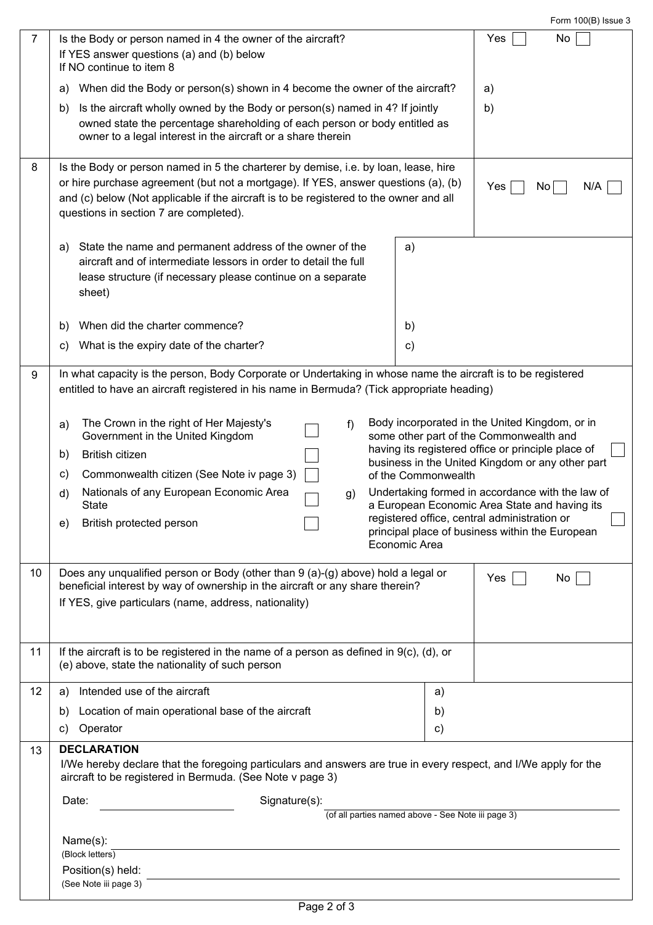Form 100(B) Issue 3

| 7  | Is the Body or person named in 4 the owner of the aircraft?<br>If YES answer questions (a) and (b) below<br>If NO continue to item 8                                                                       |                     | No<br>Yes                                                                                              |  |
|----|------------------------------------------------------------------------------------------------------------------------------------------------------------------------------------------------------------|---------------------|--------------------------------------------------------------------------------------------------------|--|
|    | When did the Body or person(s) shown in 4 become the owner of the aircraft?<br>a)                                                                                                                          |                     | a)                                                                                                     |  |
|    | Is the aircraft wholly owned by the Body or person(s) named in 4? If jointly<br>b)                                                                                                                         |                     | b)                                                                                                     |  |
|    | owned state the percentage shareholding of each person or body entitled as                                                                                                                                 |                     |                                                                                                        |  |
|    | owner to a legal interest in the aircraft or a share therein                                                                                                                                               |                     |                                                                                                        |  |
| 8  | Is the Body or person named in 5 the charterer by demise, i.e. by loan, lease, hire                                                                                                                        |                     |                                                                                                        |  |
|    | or hire purchase agreement (but not a mortgage). If YES, answer questions (a), (b)                                                                                                                         |                     | N/A<br>Yes<br>No.                                                                                      |  |
|    | and (c) below (Not applicable if the aircraft is to be registered to the owner and all                                                                                                                     |                     |                                                                                                        |  |
|    | questions in section 7 are completed).                                                                                                                                                                     |                     |                                                                                                        |  |
|    | State the name and permanent address of the owner of the<br>a)                                                                                                                                             | a)                  |                                                                                                        |  |
|    | aircraft and of intermediate lessors in order to detail the full                                                                                                                                           |                     |                                                                                                        |  |
|    | lease structure (if necessary please continue on a separate                                                                                                                                                |                     |                                                                                                        |  |
|    | sheet)                                                                                                                                                                                                     |                     |                                                                                                        |  |
|    | When did the charter commence?<br>b)                                                                                                                                                                       | b)                  |                                                                                                        |  |
|    | What is the expiry date of the charter?<br>C)                                                                                                                                                              | $\mathbf{c})$       |                                                                                                        |  |
|    |                                                                                                                                                                                                            |                     |                                                                                                        |  |
| 9  | In what capacity is the person, Body Corporate or Undertaking in whose name the aircraft is to be registered<br>entitled to have an aircraft registered in his name in Bermuda? (Tick appropriate heading) |                     |                                                                                                        |  |
|    |                                                                                                                                                                                                            |                     |                                                                                                        |  |
|    | The Crown in the right of Her Majesty's<br>f)<br>a)<br>Government in the United Kingdom                                                                                                                    |                     | Body incorporated in the United Kingdom, or in<br>some other part of the Commonwealth and              |  |
|    | <b>British citizen</b><br>b)                                                                                                                                                                               |                     | having its registered office or principle place of<br>business in the United Kingdom or any other part |  |
|    | Commonwealth citizen (See Note iv page 3)<br>C)                                                                                                                                                            | of the Commonwealth |                                                                                                        |  |
|    | Nationals of any European Economic Area<br>d)<br>g)                                                                                                                                                        |                     | Undertaking formed in accordance with the law of                                                       |  |
|    | <b>State</b>                                                                                                                                                                                               |                     | a European Economic Area State and having its<br>registered office, central administration or          |  |
|    | British protected person<br>e)                                                                                                                                                                             |                     | principal place of business within the European                                                        |  |
|    |                                                                                                                                                                                                            | Economic Area       |                                                                                                        |  |
| 10 | Does any unqualified person or Body (other than 9 (a)-(g) above) hold a legal or                                                                                                                           |                     | Yes<br>No                                                                                              |  |
|    | beneficial interest by way of ownership in the aircraft or any share therein?                                                                                                                              |                     |                                                                                                        |  |
|    | If YES, give particulars (name, address, nationality)                                                                                                                                                      |                     |                                                                                                        |  |
|    |                                                                                                                                                                                                            |                     |                                                                                                        |  |
| 11 | If the aircraft is to be registered in the name of a person as defined in $9(c)$ , (d), or<br>(e) above, state the nationality of such person                                                              |                     |                                                                                                        |  |
|    |                                                                                                                                                                                                            |                     |                                                                                                        |  |
| 12 | Intended use of the aircraft<br>a)                                                                                                                                                                         | a)                  | $\blacktriangledown$                                                                                   |  |
|    | Location of main operational base of the aircraft<br>b)                                                                                                                                                    | b)                  |                                                                                                        |  |
|    | Operator<br>C)                                                                                                                                                                                             | c)                  |                                                                                                        |  |
| 13 | <b>DECLARATION</b>                                                                                                                                                                                         |                     |                                                                                                        |  |
|    | I/We hereby declare that the foregoing particulars and answers are true in every respect, and I/We apply for the<br>aircraft to be registered in Bermuda. (See Note v page 3)                              |                     |                                                                                                        |  |
|    | Signature(s):<br>Date:                                                                                                                                                                                     |                     |                                                                                                        |  |
|    | (of all parties named above - See Note iii page 3)                                                                                                                                                         |                     |                                                                                                        |  |
|    | Name(s):                                                                                                                                                                                                   |                     |                                                                                                        |  |
|    | (Block letters)                                                                                                                                                                                            |                     |                                                                                                        |  |
|    | Position(s) held:                                                                                                                                                                                          |                     |                                                                                                        |  |
|    | (See Note iii page 3)                                                                                                                                                                                      |                     |                                                                                                        |  |